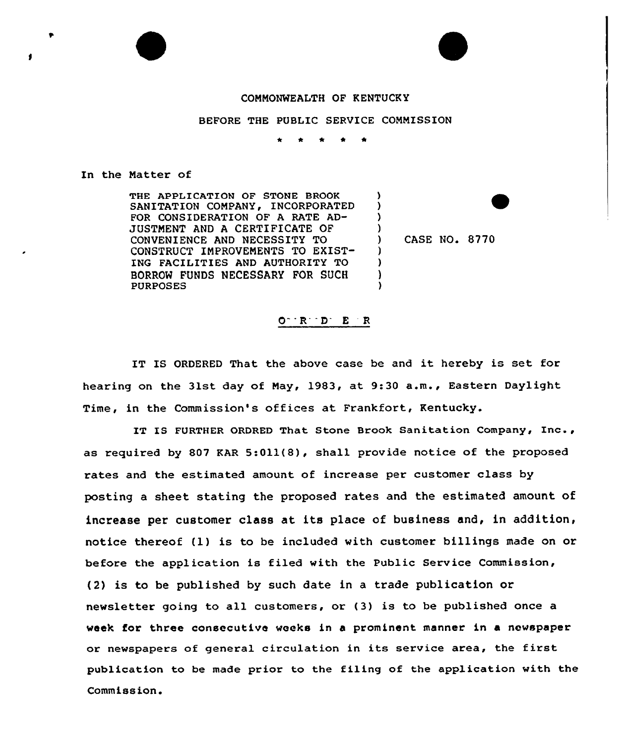## COMMONWEALTH OF KENTUCKY

BEFORE THE PUBLIC SERVICE COMMISSION

) ) ) )

> ) ) ) )

\* \* <sup>4</sup> \*

In the Natter of

THE APPLICATION OF STONE BROOK SANITATION COMPANY, INCORPORATED FOR CONS IDERATIQN OF A RATE AD-JUSTMENT AND A CERTIFICATE OF CONVENIENCE AND NECESSITY TO CONSTRUCT IMPROVEMENTS TO EXIST-ING FACILITIES AND AUTHORITY TO BORROW FUNDS NECESSARY FOR SUCH PURPOSES

) CASE NO. 8770

 $O^ R^ D^ E^ R$ 

IT IS ORDERED That the above case be and it hereby is set for hearing on the 31st day of Nay, 1983, at 9:<sup>30</sup> a.m., Eastern Daylight Time, in the Commission's offices at Frankfort, Kentucky.

IT IS FURTHER ORDRED That Stone Brook Sanitation Company, Inc., as required by 807 KAR  $5:011(8)$ , shall provide notice of the proposed rates and the estimated amount of increase per customer class by posting a sheet stating the proposed rates and the estimated amount of increase per customer class at its place of business and, in addition, notice thereof (1) is to be included with customer billings made on or before the application is filed with the Public Service Commission, (2) is to be published by such date in a trade publication or newsletter going to all customers, or (3) is to be published once a week for three consecutive weeks in a prominent manner in a newspaper or newspapers of general circulation in its service area, the first publication to be made prior to the filing of the application with the Commission.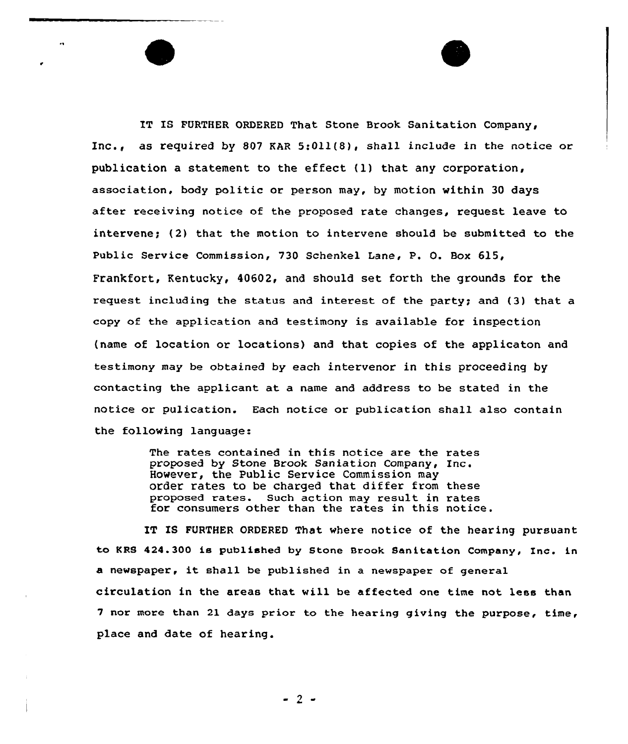IT IB FURTHER ORDERED That Stone Brook Sanitation Company, Inc., as required by 807 EAR 5:Oll(8), shall include in the notice or publication a statement to the effect (1) that any corporation, association, body politic or person may, by motion within 30 days after xeceiving notice of the proposed rate changes, request leave to intervene; (2) that the motion to intervene should be submitted to the Public Service Commission, 730 Schenkel Lane, P. O. Box 61S, Frankfort, Kentucky, 40602, and should set forth the grounds for the request including the status and interest of the party; and (3) that a copy of the application and testimony is available for inspection (name of location or locations) and that copies of the applicaton and testimony may be obtained by each intervenor in this proceeding by contacting the applicant at a name and address to be stated in the notice or pulication. Each notice or publication shall also contain the following language:

> The rates contained in this notice are the rates proposed by Stone Brook Saniation Company, Inc. However, the Public Service Commission may order rates to be charged that differ from these proposed rates. Such action may result in rates for consumers other than the rates in this notice.

IT IS FURTHER ORDERED That where notice of the hearing pursuant to KRS 424.300 is published by Stone Brook Sanitation Company, Inc. in <sup>a</sup> newspaper, it shall be published in <sup>a</sup> newspaper of general circulation in the areas that will be affected one time not less than 7 nor more than 21 days priox to the heax ing giving the purpose, time, place and date of hearing.

- 2 -